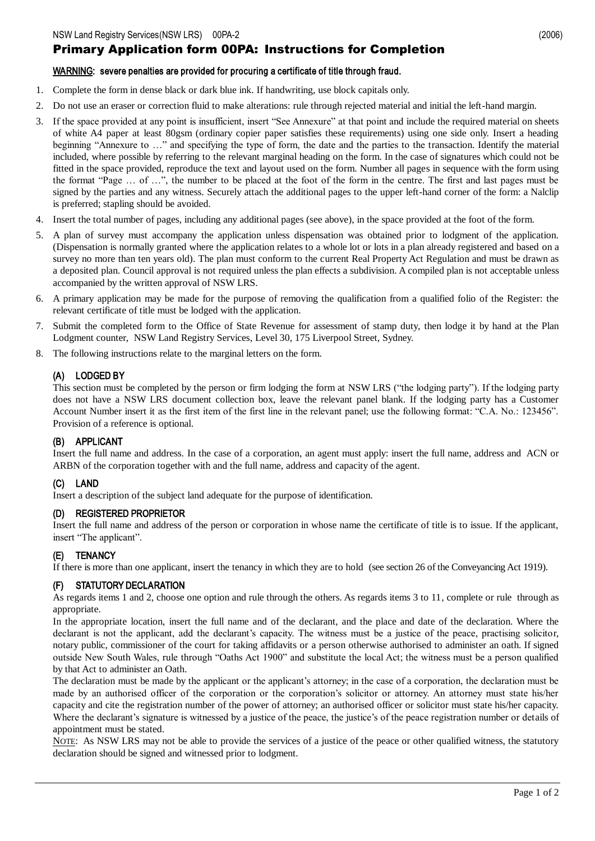# Primary Application form 00PA: Instructions for Completion

#### WARNING: severe penalties are provided for procuring a certificate of title through fraud.

- 1. Complete the form in dense black or dark blue ink. If handwriting, use block capitals only.
- 2. Do not use an eraser or correction fluid to make alterations: rule through rejected material and initial the left-hand margin.
- 3. If the space provided at any point is insufficient, insert "See Annexure" at that point and include the required material on sheets of white A4 paper at least 80gsm (ordinary copier paper satisfies these requirements) using one side only. Insert a heading beginning "Annexure to …" and specifying the type of form, the date and the parties to the transaction. Identify the material included, where possible by referring to the relevant marginal heading on the form. In the case of signatures which could not be fitted in the space provided, reproduce the text and layout used on the form. Number all pages in sequence with the form using the format "Page … of …", the number to be placed at the foot of the form in the centre. The first and last pages must be signed by the parties and any witness. Securely attach the additional pages to the upper left-hand corner of the form: a Nalclip is preferred; stapling should be avoided.
- 4. Insert the total number of pages, including any additional pages (see above), in the space provided at the foot of the form.
- 5. A plan of survey must accompany the application unless dispensation was obtained prior to lodgment of the application. (Dispensation is normally granted where the application relates to a whole lot or lots in a plan already registered and based on a survey no more than ten years old). The plan must conform to the current Real Property Act Regulation and must be drawn as a deposited plan. Council approval is not required unless the plan effects a subdivision. A compiled plan is not acceptable unless accompanied by the written approval of NSW LRS.
- 6. A primary application may be made for the purpose of removing the qualification from a qualified folio of the Register: the relevant certificate of title must be lodged with the application.
- 7. Submit the completed form to the Office of State Revenue for assessment of stamp duty, then lodge it by hand at the Plan Lodgment counter, NSW Land Registry Services, Level 30, 175 Liverpool Street, Sydney.
- 8. The following instructions relate to the marginal letters on the form.

# (A) LODGED BY

This section must be completed by the person or firm lodging the form at NSW LRS ("the lodging party"). If the lodging party does not have a NSW LRS document collection box, leave the relevant panel blank. If the lodging party has a Customer Account Number insert it as the first item of the first line in the relevant panel; use the following format: "C.A. No.: 123456". Provision of a reference is optional.

### (B) APPLICANT

Insert the full name and address. In the case of a corporation, an agent must apply: insert the full name, address and ACN or ARBN of the corporation together with and the full name, address and capacity of the agent.

### (C) LAND

Insert a description of the subject land adequate for the purpose of identification.

#### (D) REGISTERED PROPRIETOR

Insert the full name and address of the person or corporation in whose name the certificate of title is to issue. If the applicant, insert "The applicant".

# (E) TENANCY

If there is more than one applicant, insert the tenancy in which they are to hold (see section 26 of the Conveyancing Act 1919).

### STATUTORY DECLARATION

As regards items 1 and 2, choose one option and rule through the others. As regards items 3 to 11, complete or rule through as appropriate.

In the appropriate location, insert the full name and of the declarant, and the place and date of the declaration. Where the declarant is not the applicant, add the declarant's capacity. The witness must be a justice of the peace, practising solicitor, notary public, commissioner of the court for taking affidavits or a person otherwise authorised to administer an oath. If signed outside New South Wales, rule through "Oaths Act 1900" and substitute the local Act; the witness must be a person qualified by that Act to administer an Oath.

The declaration must be made by the applicant or the applicant's attorney; in the case of a corporation, the declaration must be made by an authorised officer of the corporation or the corporation's solicitor or attorney. An attorney must state his/her capacity and cite the registration number of the power of attorney; an authorised officer or solicitor must state his/her capacity. Where the declarant's signature is witnessed by a justice of the peace, the justice's of the peace registration number or details of appointment must be stated.

NOTE: As NSW LRS may not be able to provide the services of a justice of the peace or other qualified witness, the statutory declaration should be signed and witnessed prior to lodgment.